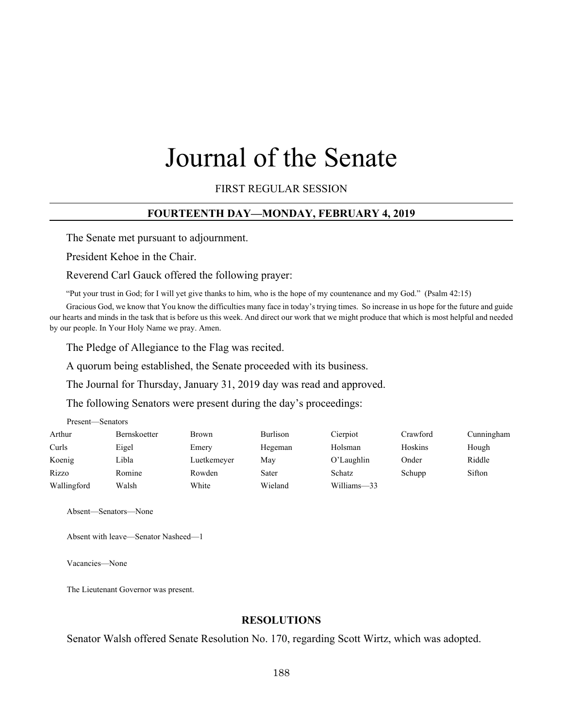# Journal of the Senate

FIRST REGULAR SESSION

## **FOURTEENTH DAY—MONDAY, FEBRUARY 4, 2019**

The Senate met pursuant to adjournment.

President Kehoe in the Chair.

Reverend Carl Gauck offered the following prayer:

"Put your trust in God; for I will yet give thanks to him, who is the hope of my countenance and my God." (Psalm 42:15)

Gracious God, we know that You know the difficulties many face in today's trying times. So increase in us hope for the future and guide our hearts and minds in the task that is before us this week. And direct our work that we might produce that which is most helpful and needed by our people. In Your Holy Name we pray. Amen.

The Pledge of Allegiance to the Flag was recited.

A quorum being established, the Senate proceeded with its business.

The Journal for Thursday, January 31, 2019 day was read and approved.

The following Senators were present during the day's proceedings:

| Arthur      | <b>Bernskoetter</b> | Brown       | <b>Burlison</b> | Cierpiot      | Crawford | Cunningham |
|-------------|---------------------|-------------|-----------------|---------------|----------|------------|
| Curls       | Eigel               | Emery       | Hegeman         | Holsman       | Hoskins  | Hough      |
| Koenig      | Libla               | Luetkemeyer | May             | $O'$ Laughlin | Onder    | Riddle     |
| Rizzo       | Romine              | Rowden      | Sater           | Schatz        | Schupp   | Sifton     |
| Wallingford | Walsh               | White       | Wieland         | Williams-33   |          |            |

Absent—Senators—None

Absent with leave—Senator Nasheed—1

Vacancies—None

Present—Senators

The Lieutenant Governor was present.

#### **RESOLUTIONS**

Senator Walsh offered Senate Resolution No. 170, regarding Scott Wirtz, which was adopted.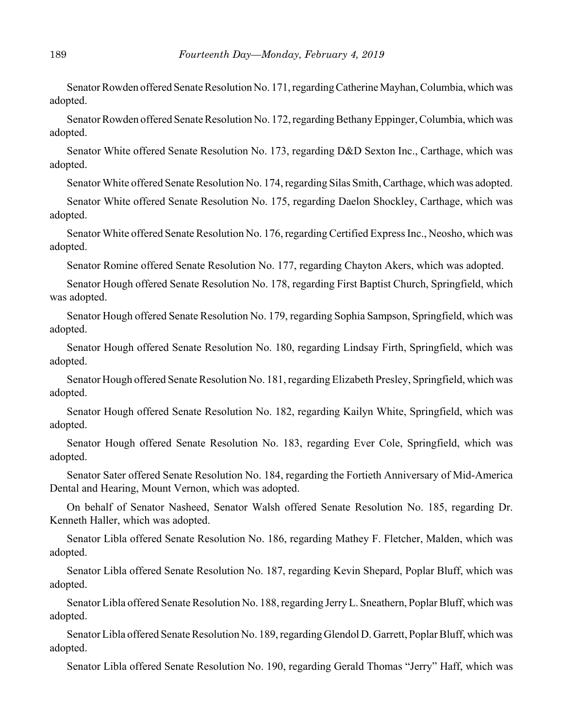Senator Rowden offered Senate Resolution No. 171, regarding Catherine Mayhan, Columbia, which was adopted.

Senator Rowden offered Senate Resolution No. 172, regarding Bethany Eppinger, Columbia, which was adopted.

Senator White offered Senate Resolution No. 173, regarding D&D Sexton Inc., Carthage, which was adopted.

Senator White offered Senate Resolution No. 174, regarding Silas Smith, Carthage, which was adopted.

Senator White offered Senate Resolution No. 175, regarding Daelon Shockley, Carthage, which was adopted.

Senator White offered Senate Resolution No. 176, regarding Certified Express Inc., Neosho, which was adopted.

Senator Romine offered Senate Resolution No. 177, regarding Chayton Akers, which was adopted.

Senator Hough offered Senate Resolution No. 178, regarding First Baptist Church, Springfield, which was adopted.

Senator Hough offered Senate Resolution No. 179, regarding Sophia Sampson, Springfield, which was adopted.

Senator Hough offered Senate Resolution No. 180, regarding Lindsay Firth, Springfield, which was adopted.

Senator Hough offered Senate Resolution No. 181, regarding Elizabeth Presley, Springfield, which was adopted.

Senator Hough offered Senate Resolution No. 182, regarding Kailyn White, Springfield, which was adopted.

Senator Hough offered Senate Resolution No. 183, regarding Ever Cole, Springfield, which was adopted.

Senator Sater offered Senate Resolution No. 184, regarding the Fortieth Anniversary of Mid-America Dental and Hearing, Mount Vernon, which was adopted.

On behalf of Senator Nasheed, Senator Walsh offered Senate Resolution No. 185, regarding Dr. Kenneth Haller, which was adopted.

Senator Libla offered Senate Resolution No. 186, regarding Mathey F. Fletcher, Malden, which was adopted.

Senator Libla offered Senate Resolution No. 187, regarding Kevin Shepard, Poplar Bluff, which was adopted.

Senator Libla offered Senate Resolution No. 188, regarding Jerry L. Sneathern, Poplar Bluff, which was adopted.

Senator Libla offered Senate Resolution No. 189, regarding Glendol D. Garrett, Poplar Bluff, which was adopted.

Senator Libla offered Senate Resolution No. 190, regarding Gerald Thomas "Jerry" Haff, which was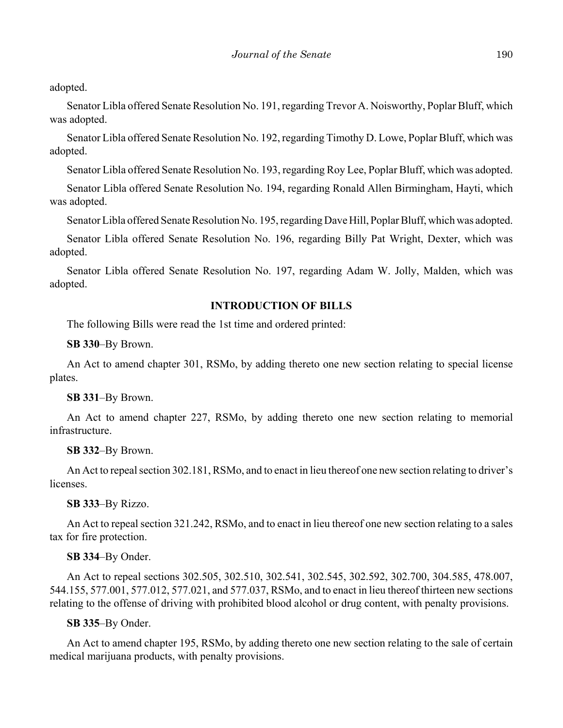adopted.

Senator Libla offered Senate Resolution No. 191, regarding Trevor A. Noisworthy, Poplar Bluff, which was adopted.

Senator Libla offered Senate Resolution No. 192, regarding Timothy D. Lowe, Poplar Bluff, which was adopted.

Senator Libla offered Senate Resolution No. 193, regarding Roy Lee, Poplar Bluff, which was adopted.

Senator Libla offered Senate Resolution No. 194, regarding Ronald Allen Birmingham, Hayti, which was adopted.

Senator Libla offered Senate Resolution No. 195, regarding Dave Hill, Poplar Bluff, which was adopted.

Senator Libla offered Senate Resolution No. 196, regarding Billy Pat Wright, Dexter, which was adopted.

Senator Libla offered Senate Resolution No. 197, regarding Adam W. Jolly, Malden, which was adopted.

## **INTRODUCTION OF BILLS**

The following Bills were read the 1st time and ordered printed:

**SB 330**–By Brown.

An Act to amend chapter 301, RSMo, by adding thereto one new section relating to special license plates.

#### **SB 331**–By Brown.

An Act to amend chapter 227, RSMo, by adding thereto one new section relating to memorial infrastructure.

#### **SB 332**–By Brown.

An Act to repeal section 302.181, RSMo, and to enact in lieu thereof one new section relating to driver's licenses.

#### **SB 333**–By Rizzo.

An Act to repeal section 321.242, RSMo, and to enact in lieu thereof one new section relating to a sales tax for fire protection.

#### **SB 334**–By Onder.

An Act to repeal sections 302.505, 302.510, 302.541, 302.545, 302.592, 302.700, 304.585, 478.007, 544.155, 577.001, 577.012, 577.021, and 577.037, RSMo, and to enact in lieu thereof thirteen new sections relating to the offense of driving with prohibited blood alcohol or drug content, with penalty provisions.

#### **SB 335**–By Onder.

An Act to amend chapter 195, RSMo, by adding thereto one new section relating to the sale of certain medical marijuana products, with penalty provisions.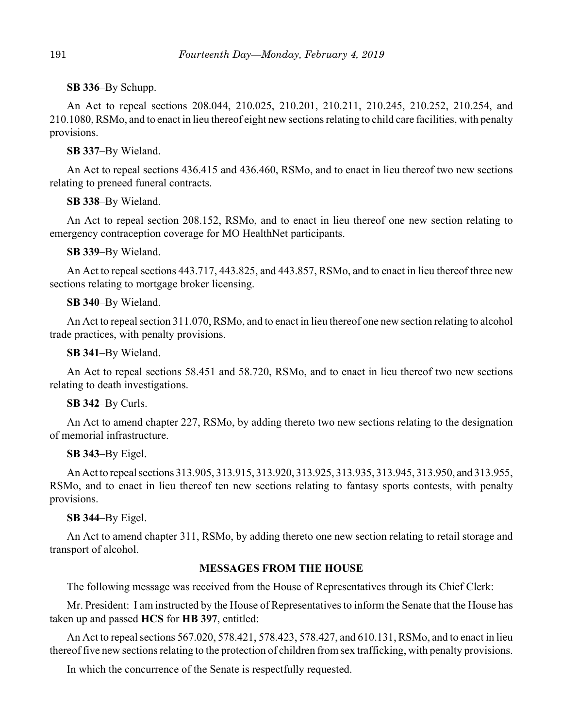**SB 336**–By Schupp.

An Act to repeal sections 208.044, 210.025, 210.201, 210.211, 210.245, 210.252, 210.254, and 210.1080, RSMo, and to enact in lieu thereof eight new sections relating to child care facilities, with penalty provisions.

**SB 337**–By Wieland.

An Act to repeal sections 436.415 and 436.460, RSMo, and to enact in lieu thereof two new sections relating to preneed funeral contracts.

**SB 338**–By Wieland.

An Act to repeal section 208.152, RSMo, and to enact in lieu thereof one new section relating to emergency contraception coverage for MO HealthNet participants.

**SB 339**–By Wieland.

An Act to repeal sections 443.717, 443.825, and 443.857, RSMo, and to enact in lieu thereof three new sections relating to mortgage broker licensing.

# **SB 340**–By Wieland.

An Act to repeal section 311.070, RSMo, and to enact in lieu thereof one new section relating to alcohol trade practices, with penalty provisions.

**SB 341**–By Wieland.

An Act to repeal sections 58.451 and 58.720, RSMo, and to enact in lieu thereof two new sections relating to death investigations.

# **SB 342**–By Curls.

An Act to amend chapter 227, RSMo, by adding thereto two new sections relating to the designation of memorial infrastructure.

# **SB 343**–By Eigel.

An Act to repeal sections 313.905, 313.915, 313.920, 313.925, 313.935, 313.945, 313.950, and 313.955, RSMo, and to enact in lieu thereof ten new sections relating to fantasy sports contests, with penalty provisions.

# **SB 344**–By Eigel.

An Act to amend chapter 311, RSMo, by adding thereto one new section relating to retail storage and transport of alcohol.

# **MESSAGES FROM THE HOUSE**

The following message was received from the House of Representatives through its Chief Clerk:

Mr. President: I am instructed by the House of Representatives to inform the Senate that the House has taken up and passed **HCS** for **HB 397**, entitled:

An Act to repeal sections 567.020, 578.421, 578.423, 578.427, and 610.131, RSMo, and to enact in lieu thereof five new sections relating to the protection of children from sex trafficking, with penalty provisions.

In which the concurrence of the Senate is respectfully requested.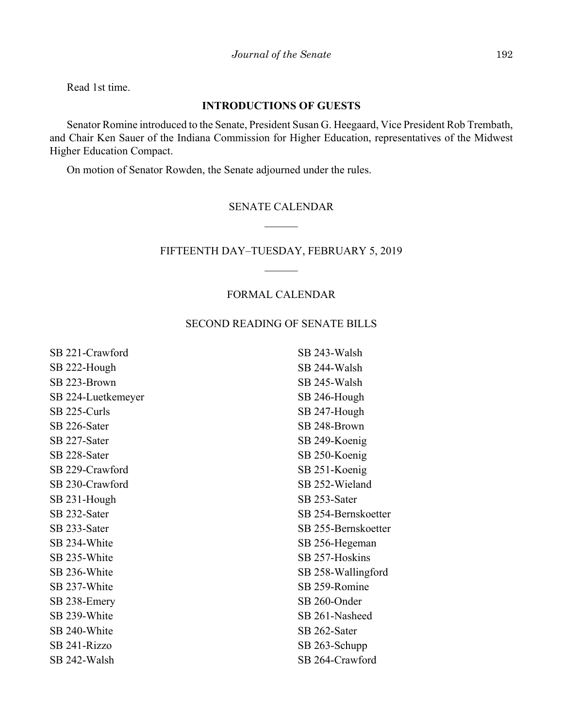Read 1st time.

## **INTRODUCTIONS OF GUESTS**

Senator Romine introduced to the Senate, President Susan G. Heegaard, Vice President Rob Trembath, and Chair Ken Sauer of the Indiana Commission for Higher Education, representatives of the Midwest Higher Education Compact.

On motion of Senator Rowden, the Senate adjourned under the rules.

## SENATE CALENDAR

#### FIFTEENTH DAY–TUESDAY, FEBRUARY 5, 2019

## FORMAL CALENDAR

## SECOND READING OF SENATE BILLS

| SB 221-Crawford    | SB 243-Walsh        |
|--------------------|---------------------|
| SB 222-Hough       | SB 244-Walsh        |
| SB 223-Brown       | SB 245-Walsh        |
| SB 224-Luetkemeyer | SB 246-Hough        |
| SB 225-Curls       | SB 247-Hough        |
| SB 226-Sater       | SB 248-Brown        |
| SB 227-Sater       | SB 249-Koenig       |
| SB 228-Sater       | SB 250-Koenig       |
| SB 229-Crawford    | SB 251-Koenig       |
| SB 230-Crawford    | SB 252-Wieland      |
| SB 231-Hough       | SB 253-Sater        |
| SB 232-Sater       | SB 254-Bernskoetter |
| SB 233-Sater       | SB 255-Bernskoetter |
| SB 234-White       | SB 256-Hegeman      |
| SB 235-White       | SB 257-Hoskins      |
| SB 236-White       | SB 258-Wallingford  |
| SB 237-White       | SB 259-Romine       |
| SB 238-Emery       | SB 260-Onder        |
| SB 239-White       | SB 261-Nasheed      |
| SB 240-White       | SB 262-Sater        |
| SB 241-Rizzo       | SB 263-Schupp       |
| SB 242-Walsh       | SB 264-Crawford     |
|                    |                     |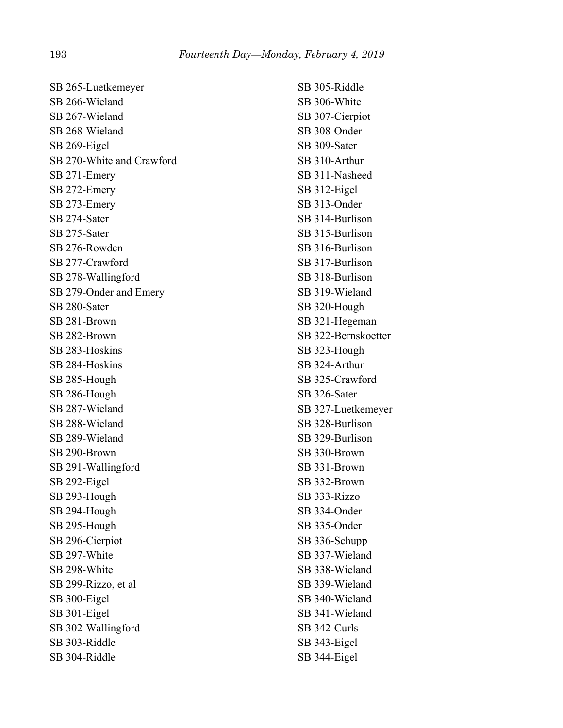SB 265-Luetkemeyer SB 266-Wieland SB 267-Wieland SB 268-Wieland SB 269-Eigel SB 270-White and Crawford SB 271-Emery SB 272-Emery SB 273-Emery SB 274-Sater SB 275-Sater SB 276-Rowden SB 277-Crawford SB 278-Wallingford SB 279-Onder and Emery SB 280-Sater SB 281-Brown SB 282-Brown SB 283-Hoskins SB 284-Hoskins SB 285-Hough SB 286-Hough SB 287-Wieland SB 288-Wieland SB 289-Wieland SB 290-Brown SB 291-Wallingford SB 292-Eigel SB 293-Hough SB 294-Hough SB 295-Hough SB 296-Cierpiot SB 297-White SB 298-White SB 299-Rizzo, et al SB 300-Eigel SB 301-Eigel SB 302-Wallingford SB 303-Riddle SB 304-Riddle

SB 305-Riddle SB 306-White SB 307-Cierpiot SB 308-Onder SB 309-Sater SB 310-Arthur SB 311-Nasheed SB 312-Eigel SB 313-Onder SB 314-Burlison SB 315-Burlison SB 316-Burlison SB 317-Burlison SB 318-Burlison SB 319-Wieland SB 320-Hough SB 321-Hegeman SB 322-Bernskoetter SB 323-Hough SB 324-Arthur SB 325-Crawford SB 326-Sater SB 327-Luetkemeyer SB 328-Burlison SB 329-Burlison SB 330-Brown SB 331-Brown SB 332-Brown SB 333-Rizzo SB 334-Onder SB 335-Onder SB 336-Schupp SB 337-Wieland SB 338-Wieland SB 339-Wieland SB 340-Wieland SB 341-Wieland SB 342-Curls SB 343-Eigel SB 344-Eigel